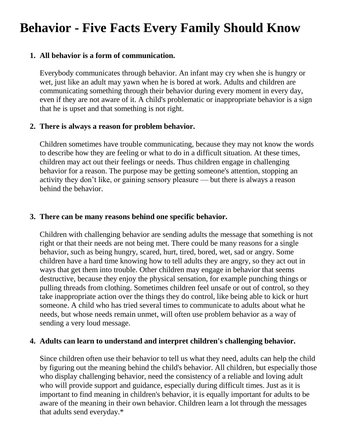# **Behavior - Five Facts Every Family Should Know**

## **1. All behavior is a form of communication.**

Everybody communicates through behavior. An infant may cry when she is hungry or wet, just like an adult may yawn when he is bored at work. Adults and children are communicating something through their behavior during every moment in every day, even if they are not aware of it. A child's problematic or inappropriate behavior is a sign that he is upset and that something is not right.

# **2. There is always a reason for problem behavior.**

Children sometimes have trouble communicating, because they may not know the words to describe how they are feeling or what to do in a difficult situation. At these times, children may act out their feelings or needs. Thus children engage in challenging behavior for a reason. The purpose may be getting someone's attention, stopping an activity they don't like, or gaining sensory pleasure — but there is always a reason behind the behavior.

#### **3. There can be many reasons behind one specific behavior.**

Children with challenging behavior are sending adults the message that something is not right or that their needs are not being met. There could be many reasons for a single behavior, such as being hungry, scared, hurt, tired, bored, wet, sad or angry. Some children have a hard time knowing how to tell adults they are angry, so they act out in ways that get them into trouble. Other children may engage in behavior that seems destructive, because they enjoy the physical sensation, for example punching things or pulling threads from clothing. Sometimes children feel unsafe or out of control, so they take inappropriate action over the things they do control, like being able to kick or hurt someone. A child who has tried several times to communicate to adults about what he needs, but whose needs remain unmet, will often use problem behavior as a way of sending a very loud message.

#### **4. Adults can learn to understand and interpret children's challenging behavior.**

Since children often use their behavior to tell us what they need, adults can help the child by figuring out the meaning behind the child's behavior. All children, but especially those who display challenging behavior, need the consistency of a reliable and loving adult who will provide support and guidance, especially during difficult times. Just as it is important to find meaning in children's behavior, it is equally important for adults to be aware of the meaning in their own behavior. Children learn a lot through the messages that adults send everyday.\*